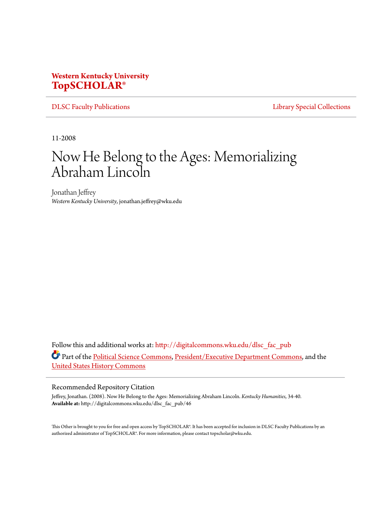## **Western Kentucky University [TopSCHOLAR®](http://digitalcommons.wku.edu?utm_source=digitalcommons.wku.edu%2Fdlsc_fac_pub%2F46&utm_medium=PDF&utm_campaign=PDFCoverPages)**

[DLSC Faculty Publications](http://digitalcommons.wku.edu/dlsc_fac_pub?utm_source=digitalcommons.wku.edu%2Fdlsc_fac_pub%2F46&utm_medium=PDF&utm_campaign=PDFCoverPages) **[Library Special Collections](http://digitalcommons.wku.edu/dlsc?utm_source=digitalcommons.wku.edu%2Fdlsc_fac_pub%2F46&utm_medium=PDF&utm_campaign=PDFCoverPages)** 

11-2008

## Now He Belong to the Ages: Memorializing Abraham Lincoln

Jonathan Jeffrey *Western Kentucky University*, jonathan.jeffrey@wku.edu

Follow this and additional works at: [http://digitalcommons.wku.edu/dlsc\\_fac\\_pub](http://digitalcommons.wku.edu/dlsc_fac_pub?utm_source=digitalcommons.wku.edu%2Fdlsc_fac_pub%2F46&utm_medium=PDF&utm_campaign=PDFCoverPages) Part of the [Political Science Commons,](http://network.bepress.com/hgg/discipline/386?utm_source=digitalcommons.wku.edu%2Fdlsc_fac_pub%2F46&utm_medium=PDF&utm_campaign=PDFCoverPages) [President/Executive Department Commons](http://network.bepress.com/hgg/discipline/1118?utm_source=digitalcommons.wku.edu%2Fdlsc_fac_pub%2F46&utm_medium=PDF&utm_campaign=PDFCoverPages), and the [United States History Commons](http://network.bepress.com/hgg/discipline/495?utm_source=digitalcommons.wku.edu%2Fdlsc_fac_pub%2F46&utm_medium=PDF&utm_campaign=PDFCoverPages)

## Recommended Repository Citation

Jeffrey, Jonathan. (2008). Now He Belong to the Ages: Memorializing Abraham Lincoln. *Kentucky Humanities*, 34-40. **Available at:** http://digitalcommons.wku.edu/dlsc\_fac\_pub/46

This Other is brought to you for free and open access by TopSCHOLAR®. It has been accepted for inclusion in DLSC Faculty Publications by an authorized administrator of TopSCHOLAR®. For more information, please contact topscholar@wku.edu.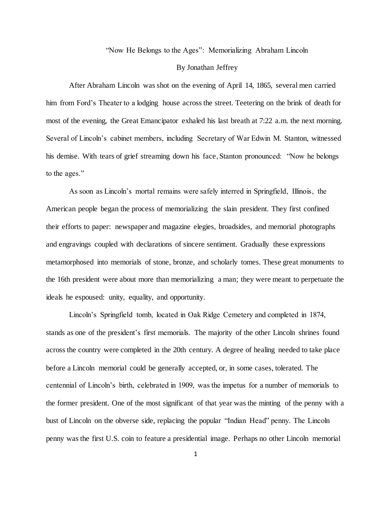"Now He Belongs to the Ages": Memorializing Abraham Lincoln

## By Jonathan Jeffrey

After Abraham Lincoln was shot on the evening of April 14, 1865, several men carried him from Ford's Theater to a lodging house across the street. Teetering on the brink of death for most of the evening, the Great Emancipator exhaled his last breath at 7:22 a.m. the next morning. Several of Lincoln's cabinet members, including Secretary of War Edwin M. Stanton, witnessed his demise. With tears of grief streaming down his face, Stanton pronounced: "Now he belongs to the ages."

As soon as Lincoln's mortal remains were safely interred in Springfield, Illinois, the American people began the process of memorializing the slain president. They first confined their efforts to paper: newspaper and magazine elegies, broadsides, and memorial photographs and engravings coupled with declarations of sincere sentiment. Gradually these expressions metamorphosed into memorials of stone, bronze, and scholarly tomes. These great monuments to the 16th president were about more than memorializing a man; they were meant to perpetuate the ideals he espoused: unity, equality, and opportunity.

Lincoln's Springfield tomb, located in Oak Ridge Cemetery and completed in 1874, stands as one of the president's first memorials. The majority of the other Lincoln shrines found across the country were completed in the 20th century. A degree of healing needed to take place before a Lincoln memorial could be generally accepted, or, in some cases, tolerated. The centennial of Lincoln's birth, celebrated in 1909, was the impetus for a number of memorials to the former president. One of the most significant of that year was the minting of the penny with a bust of Lincoln on the obverse side, replacing the popular "Indian Head" penny. The Lincoln penny was the first U.S. coin to feature a presidential image. Perhaps no other Lincoln memorial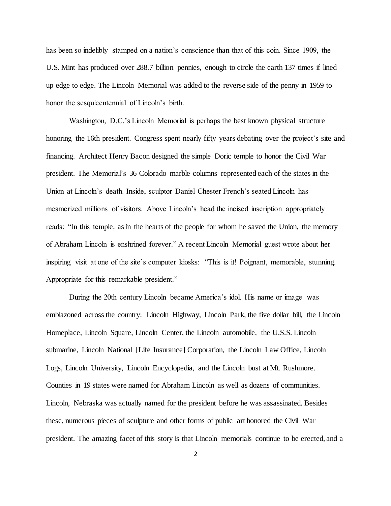has been so indelibly stamped on a nation's conscience than that of this coin. Since 1909, the U.S. Mint has produced over 288.7 billion pennies, enough to circle the earth 137 times if lined up edge to edge. The Lincoln Memorial was added to the reverse side of the penny in 1959 to honor the sesquicentennial of Lincoln's birth.

Washington, D.C.'s Lincoln Memorial is perhaps the best known physical structure honoring the 16th president. Congress spent nearly fifty years debating over the project's site and financing. Architect Henry Bacon designed the simple Doric temple to honor the Civil War president. The Memorial's 36 Colorado marble columns represented each of the states in the Union at Lincoln's death. Inside, sculptor Daniel Chester French's seated Lincoln has mesmerized millions of visitors. Above Lincoln's head the incised inscription appropriately reads: "In this temple, as in the hearts of the people for whom he saved the Union, the memory of Abraham Lincoln is enshrined forever." A recent Lincoln Memorial guest wrote about her inspiring visit at one of the site's computer kiosks: "This is it! Poignant, memorable, stunning. Appropriate for this remarkable president."

During the 20th century Lincoln became America's idol. His name or image was emblazoned across the country: Lincoln Highway, Lincoln Park, the five dollar bill, the Lincoln Homeplace, Lincoln Square, Lincoln Center, the Lincoln automobile, the U.S.S. Lincoln submarine, Lincoln National [Life Insurance] Corporation, the Lincoln Law Office, Lincoln Logs, Lincoln University, Lincoln Encyclopedia, and the Lincoln bust at Mt. Rushmore. Counties in 19 states were named for Abraham Lincoln as well as dozens of communities. Lincoln, Nebraska was actually named for the president before he was assassinated. Besides these, numerous pieces of sculpture and other forms of public art honored the Civil War president. The amazing facet of this story is that Lincoln memorials continue to be erected, and a

2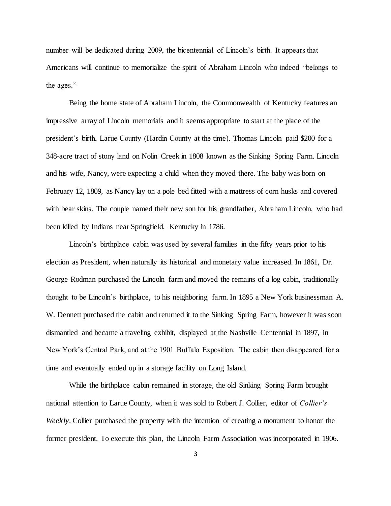number will be dedicated during 2009, the bicentennial of Lincoln's birth. It appears that Americans will continue to memorialize the spirit of Abraham Lincoln who indeed "belongs to the ages."

Being the home state of Abraham Lincoln, the Commonwealth of Kentucky features an impressive array of Lincoln memorials and it seems appropriate to start at the place of the president's birth, Larue County (Hardin County at the time). Thomas Lincoln paid \$200 for a 348-acre tract of stony land on Nolin Creek in 1808 known as the Sinking Spring Farm. Lincoln and his wife, Nancy, were expecting a child when they moved there. The baby was born on February 12, 1809, as Nancy lay on a pole bed fitted with a mattress of corn husks and covered with bear skins. The couple named their new son for his grandfather, Abraham Lincoln, who had been killed by Indians near Springfield, Kentucky in 1786.

Lincoln's birthplace cabin was used by several families in the fifty years prior to his election as President, when naturally its historical and monetary value increased. In 1861, Dr. George Rodman purchased the Lincoln farm and moved the remains of a log cabin, traditionally thought to be Lincoln's birthplace, to his neighboring farm. In 1895 a New York businessman A. W. Dennett purchased the cabin and returned it to the Sinking Spring Farm, however it was soon dismantled and became a traveling exhibit, displayed at the Nashville Centennial in 1897, in New York's Central Park, and at the 1901 Buffalo Exposition. The cabin then disappeared for a time and eventually ended up in a storage facility on Long Island.

While the birthplace cabin remained in storage, the old Sinking Spring Farm brought national attention to Larue County, when it was sold to Robert J. Collier, editor of *Collier's Weekly*. Collier purchased the property with the intention of creating a monument to honor the former president. To execute this plan, the Lincoln Farm Association was incorporated in 1906.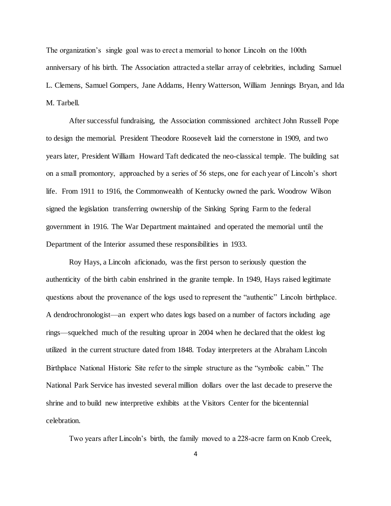The organization's single goal was to erect a memorial to honor Lincoln on the 100th anniversary of his birth. The Association attracted a stellar array of celebrities, including Samuel L. Clemens, Samuel Gompers, Jane Addams, Henry Watterson, William Jennings Bryan, and Ida M. Tarbell.

After successful fundraising, the Association commissioned architect John Russell Pope to design the memorial. President Theodore Roosevelt laid the cornerstone in 1909, and two years later, President William Howard Taft dedicated the neo-classical temple. The building sat on a small promontory, approached by a series of 56 steps, one for each year of Lincoln's short life. From 1911 to 1916, the Commonwealth of Kentucky owned the park. Woodrow Wilson signed the legislation transferring ownership of the Sinking Spring Farm to the federal government in 1916. The War Department maintained and operated the memorial until the Department of the Interior assumed these responsibilities in 1933.

Roy Hays, a Lincoln aficionado, was the first person to seriously question the authenticity of the birth cabin enshrined in the granite temple. In 1949, Hays raised legitimate questions about the provenance of the logs used to represent the "authentic" Lincoln birthplace. A dendrochronologist—an expert who dates logs based on a number of factors including age rings—squelched much of the resulting uproar in 2004 when he declared that the oldest log utilized in the current structure dated from 1848. Today interpreters at the Abraham Lincoln Birthplace National Historic Site refer to the simple structure as the "symbolic cabin." The National Park Service has invested several million dollars over the last decade to preserve the shrine and to build new interpretive exhibits at the Visitors Center for the bicentennial celebration.

Two years after Lincoln's birth, the family moved to a 228-acre farm on Knob Creek,

4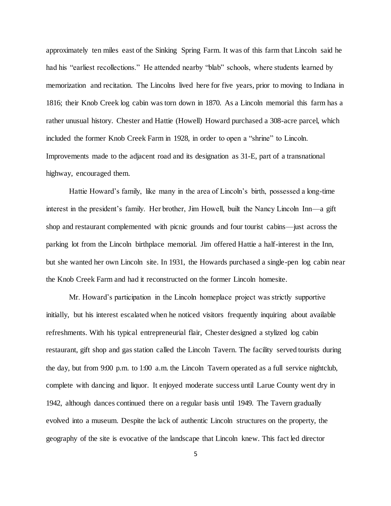approximately ten miles east of the Sinking Spring Farm. It was of this farm that Lincoln said he had his "earliest recollections." He attended nearby "blab" schools, where students learned by memorization and recitation. The Lincolns lived here for five years, prior to moving to Indiana in 1816; their Knob Creek log cabin was torn down in 1870. As a Lincoln memorial this farm has a rather unusual history. Chester and Hattie (Howell) Howard purchased a 308-acre parcel, which included the former Knob Creek Farm in 1928, in order to open a "shrine" to Lincoln. Improvements made to the adjacent road and its designation as 31-E, part of a transnational highway, encouraged them.

Hattie Howard's family, like many in the area of Lincoln's birth, possessed a long-time interest in the president's family. Her brother, Jim Howell, built the Nancy Lincoln Inn—a gift shop and restaurant complemented with picnic grounds and four tourist cabins—just across the parking lot from the Lincoln birthplace memorial. Jim offered Hattie a half-interest in the Inn, but she wanted her own Lincoln site. In 1931, the Howards purchased a single-pen log cabin near the Knob Creek Farm and had it reconstructed on the former Lincoln homesite.

Mr. Howard's participation in the Lincoln homeplace project was strictly supportive initially, but his interest escalated when he noticed visitors frequently inquiring about available refreshments. With his typical entrepreneurial flair, Chester designed a stylized log cabin restaurant, gift shop and gas station called the Lincoln Tavern. The facility served tourists during the day, but from 9:00 p.m. to 1:00 a.m. the Lincoln Tavern operated as a full service nightclub, complete with dancing and liquor. It enjoyed moderate success until Larue County went dry in 1942, although dances continued there on a regular basis until 1949. The Tavern gradually evolved into a museum. Despite the lack of authentic Lincoln structures on the property, the geography of the site is evocative of the landscape that Lincoln knew. This fact led director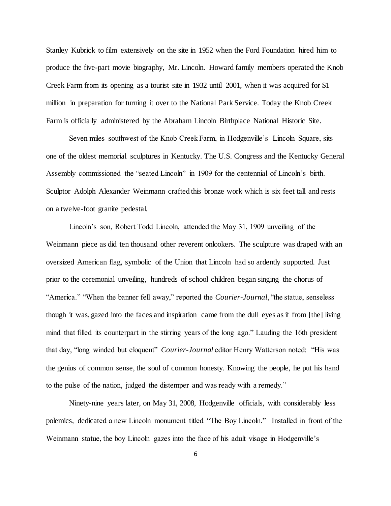Stanley Kubrick to film extensively on the site in 1952 when the Ford Foundation hired him to produce the five-part movie biography, Mr. Lincoln. Howard family members operated the Knob Creek Farm from its opening as a tourist site in 1932 until 2001, when it was acquired for \$1 million in preparation for turning it over to the National Park Service. Today the Knob Creek Farm is officially administered by the Abraham Lincoln Birthplace National Historic Site.

Seven miles southwest of the Knob Creek Farm, in Hodgenville's Lincoln Square, sits one of the oldest memorial sculptures in Kentucky. The U.S. Congress and the Kentucky General Assembly commissioned the "seated Lincoln" in 1909 for the centennial of Lincoln's birth. Sculptor Adolph Alexander Weinmann crafted this bronze work which is six feet tall and rests on a twelve-foot granite pedestal.

Lincoln's son, Robert Todd Lincoln, attended the May 31, 1909 unveiling of the Weinmann piece as did ten thousand other reverent onlookers. The sculpture was draped with an oversized American flag, symbolic of the Union that Lincoln had so ardently supported. Just prior to the ceremonial unveiling, hundreds of school children began singing the chorus of "America." "When the banner fell away," reported the *Courier-Journal*, "the statue, senseless though it was, gazed into the faces and inspiration came from the dull eyes as if from [the] living mind that filled its counterpart in the stirring years of the long ago." Lauding the 16th president that day, "long winded but eloquent" *Courier-Journal* editor Henry Watterson noted: "His was the genius of common sense, the soul of common honesty. Knowing the people, he put his hand to the pulse of the nation, judged the distemper and was ready with a remedy."

Ninety-nine years later, on May 31, 2008, Hodgenville officials, with considerably less polemics, dedicated a new Lincoln monument titled "The Boy Lincoln." Installed in front of the Weinmann statue, the boy Lincoln gazes into the face of his adult visage in Hodgenville's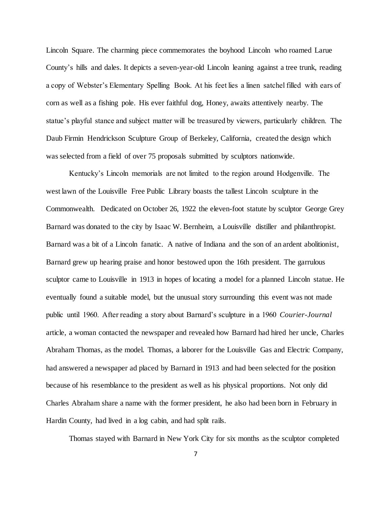Lincoln Square. The charming piece commemorates the boyhood Lincoln who roamed Larue County's hills and dales. It depicts a seven-year-old Lincoln leaning against a tree trunk, reading a copy of Webster's Elementary Spelling Book. At his feet lies a linen satchel filled with ears of corn as well as a fishing pole. His ever faithful dog, Honey, awaits attentively nearby. The statue's playful stance and subject matter will be treasured by viewers, particularly children. The Daub Firmin Hendrickson Sculpture Group of Berkeley, California, created the design which was selected from a field of over 75 proposals submitted by sculptors nationwide.

Kentucky's Lincoln memorials are not limited to the region around Hodgenville. The west lawn of the Louisville Free Public Library boasts the tallest Lincoln sculpture in the Commonwealth. Dedicated on October 26, 1922 the eleven-foot statute by sculptor George Grey Barnard was donated to the city by Isaac W. Bernheim, a Louisville distiller and philanthropist. Barnard was a bit of a Lincoln fanatic. A native of Indiana and the son of an ardent abolitionist, Barnard grew up hearing praise and honor bestowed upon the 16th president. The garrulous sculptor came to Louisville in 1913 in hopes of locating a model for a planned Lincoln statue. He eventually found a suitable model, but the unusual story surrounding this event was not made public until 1960. After reading a story about Barnard's sculpture in a 1960 *Courier-Journal* article, a woman contacted the newspaper and revealed how Barnard had hired her uncle, Charles Abraham Thomas, as the model. Thomas, a laborer for the Louisville Gas and Electric Company, had answered a newspaper ad placed by Barnard in 1913 and had been selected for the position because of his resemblance to the president as well as his physical proportions. Not only did Charles Abraham share a name with the former president, he also had been born in February in Hardin County, had lived in a log cabin, and had split rails.

Thomas stayed with Barnard in New York City for six months as the sculptor completed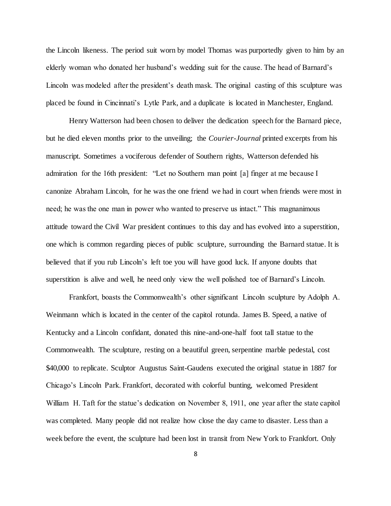the Lincoln likeness. The period suit worn by model Thomas was purportedly given to him by an elderly woman who donated her husband's wedding suit for the cause. The head of Barnard's Lincoln was modeled after the president's death mask. The original casting of this sculpture was placed be found in Cincinnati's Lytle Park, and a duplicate is located in Manchester, England.

Henry Watterson had been chosen to deliver the dedication speech for the Barnard piece, but he died eleven months prior to the unveiling; the *Courier-Journal* printed excerpts from his manuscript. Sometimes a vociferous defender of Southern rights, Watterson defended his admiration for the 16th president: "Let no Southern man point [a] finger at me because I canonize Abraham Lincoln, for he was the one friend we had in court when friends were most in need; he was the one man in power who wanted to preserve us intact." This magnanimous attitude toward the Civil War president continues to this day and has evolved into a superstition, one which is common regarding pieces of public sculpture, surrounding the Barnard statue. It is believed that if you rub Lincoln's left toe you will have good luck. If anyone doubts that superstition is alive and well, he need only view the well polished toe of Barnard's Lincoln.

Frankfort, boasts the Commonwealth's other significant Lincoln sculpture by Adolph A. Weinmann which is located in the center of the capitol rotunda. James B. Speed, a native of Kentucky and a Lincoln confidant, donated this nine-and-one-half foot tall statue to the Commonwealth. The sculpture, resting on a beautiful green, serpentine marble pedestal, cost \$40,000 to replicate. Sculptor Augustus Saint-Gaudens executed the original statue in 1887 for Chicago's Lincoln Park. Frankfort, decorated with colorful bunting, welcomed President William H. Taft for the statue's dedication on November 8, 1911, one year after the state capitol was completed. Many people did not realize how close the day came to disaster. Less than a week before the event, the sculpture had been lost in transit from New York to Frankfort. Only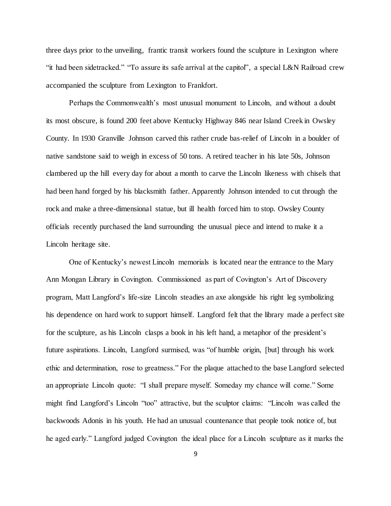three days prior to the unveiling, frantic transit workers found the sculpture in Lexington where "it had been sidetracked." "To assure its safe arrival at the capitol", a special L&N Railroad crew accompanied the sculpture from Lexington to Frankfort.

Perhaps the Commonwealth's most unusual monument to Lincoln, and without a doubt its most obscure, is found 200 feet above Kentucky Highway 846 near Island Creek in Owsley County. In 1930 Granville Johnson carved this rather crude bas-relief of Lincoln in a boulder of native sandstone said to weigh in excess of 50 tons. A retired teacher in his late 50s, Johnson clambered up the hill every day for about a month to carve the Lincoln likeness with chisels that had been hand forged by his blacksmith father. Apparently Johnson intended to cut through the rock and make a three-dimensional statue, but ill health forced him to stop. Owsley County officials recently purchased the land surrounding the unusual piece and intend to make it a Lincoln heritage site.

One of Kentucky's newest Lincoln memorials is located near the entrance to the Mary Ann Mongan Library in Covington. Commissioned as part of Covington's Art of Discovery program, Matt Langford's life-size Lincoln steadies an axe alongside his right leg symbolizing his dependence on hard work to support himself. Langford felt that the library made a perfect site for the sculpture, as his Lincoln clasps a book in his left hand, a metaphor of the president's future aspirations. Lincoln, Langford surmised, was "of humble origin, [but] through his work ethic and determination, rose to greatness." For the plaque attached to the base Langford selected an appropriate Lincoln quote: "I shall prepare myself. Someday my chance will come." Some might find Langford's Lincoln "too" attractive, but the sculptor claims: "Lincoln was called the backwoods Adonis in his youth. He had an unusual countenance that people took notice of, but he aged early." Langford judged Covington the ideal place for a Lincoln sculpture as it marks the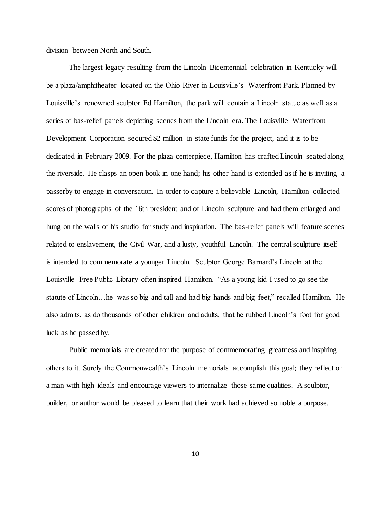division between North and South.

The largest legacy resulting from the Lincoln Bicentennial celebration in Kentucky will be a plaza/amphitheater located on the Ohio River in Louisville's Waterfront Park. Planned by Louisville's renowned sculptor Ed Hamilton, the park will contain a Lincoln statue as well as a series of bas-relief panels depicting scenes from the Lincoln era. The Louisville Waterfront Development Corporation secured \$2 million in state funds for the project, and it is to be dedicated in February 2009. For the plaza centerpiece, Hamilton has crafted Lincoln seated along the riverside. He clasps an open book in one hand; his other hand is extended as if he is inviting a passerby to engage in conversation. In order to capture a believable Lincoln, Hamilton collected scores of photographs of the 16th president and of Lincoln sculpture and had them enlarged and hung on the walls of his studio for study and inspiration. The bas-relief panels will feature scenes related to enslavement, the Civil War, and a lusty, youthful Lincoln. The central sculpture itself is intended to commemorate a younger Lincoln. Sculptor George Barnard's Lincoln at the Louisville Free Public Library often inspired Hamilton. "As a young kid I used to go see the statute of Lincoln…he was so big and tall and had big hands and big feet," recalled Hamilton. He also admits, as do thousands of other children and adults, that he rubbed Lincoln's foot for good luck as he passed by.

Public memorials are created for the purpose of commemorating greatness and inspiring others to it. Surely the Commonwealth's Lincoln memorials accomplish this goal; they reflect on a man with high ideals and encourage viewers to internalize those same qualities. A sculptor, builder, or author would be pleased to learn that their work had achieved so noble a purpose.